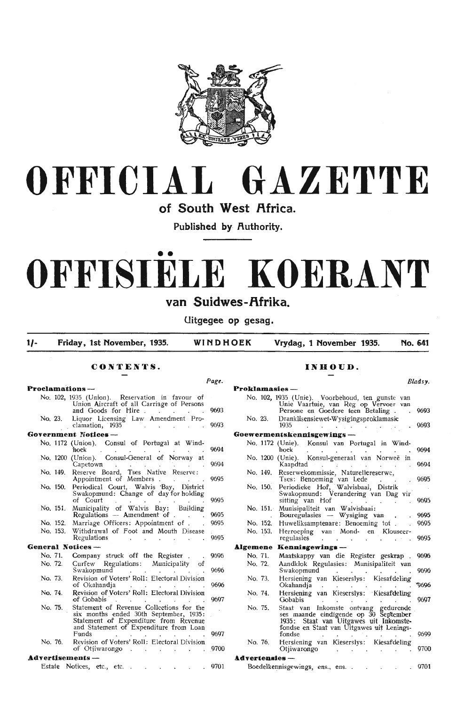



**of South West Africa.** 

Published by Authority.

# •• **OFFISIELE KOERANT**

# van Suidwes-Afrika.

**Uitgegee op gesag.** 

**1/- Friday, 1st November, 1935. WINDHOEK Vrydag, 1 November 1935. No. 641** 

*Pagt.* 

# **CONTENTS.**

#### **Proclamations** -

|          | No. 102, 1935 (Union). Reservation in favour of |                                    | Union Aircraft of all Carriage of Persons         |       |
|----------|-------------------------------------------------|------------------------------------|---------------------------------------------------|-------|
|          |                                                 |                                    | and Goods for Hire 9693                           |       |
|          | No. 23. Liquor Licensing Law Amendment Pro-     | clamation, 1935                    |                                                   | .9693 |
|          | Government Notices —                            |                                    |                                                   |       |
|          | No. 1172 (Union). Consul of Portugal at Wind-   |                                    |                                                   |       |
|          |                                                 | hoek $\cdots$ $\cdots$ $\cdots$    |                                                   | 9694  |
|          | No. 1200 (Union). Consul-General of Norway at   |                                    | Capetown                                          | 9694  |
|          | No. 149. Reserve Board, Tses Native Reserve:    |                                    | Appointment of Members                            | 9695  |
|          | No. 150. Periodical Court, Walvis Bay, District |                                    | Swakopmund: Change of day for holding<br>of Court | 9695  |
| No. 151. |                                                 | Regulations - Amendment of         | Municipality of Walvis Bay: Building              | 9695  |
| No. 152. |                                                 | Marriage Officers: Appointment of. |                                                   | 9695  |
| No. 153. | <b>Regulations</b>                              |                                    | Withdrawal of Foot and Mouth Disease              | 9695  |
|          | General Notices —                               |                                    |                                                   |       |
|          | No. 71. Company struck off the Register.        |                                    |                                                   | 9696  |
|          |                                                 | .                                  |                                                   |       |

- No. 72, Curfew Regulations: Municipality of Swakopmund No. 73. Revision of Voters' Roll: Electoral Division of Okahandja 9696 9696
- No. 74. Revision of Voters' Roll: Electoral Division of Gobabis 9697
- No. 75. Statement of Revenue Collections for the six months ended 30th September, 1935: Statement of Expenditure from Revenue and Statement of Expenditure from Loan Funds . . . . . . . 9697
- No. 76. Revision of Voters' Roll: Electoral Division of Otjiwarongo . . . . . . 9700

# **Advertisements** -

Estate Notices, etc., etc. . . . . . . . 9701

# **INHOUD.**

|                 |                |                                                                                                                                                                                | Bladsv. |
|-----------------|----------------|--------------------------------------------------------------------------------------------------------------------------------------------------------------------------------|---------|
|                 | Proklamasies - |                                                                                                                                                                                |         |
|                 |                | No. 102, 1935 (Unie). Voorbehoud, ten gunste van<br>Unie Vaartuie, van Reg op Vervoer van<br>Persone en Goedere teen Betaling.                                                 | 9693    |
|                 | No. 23.        | Dranklisensiewet-Wysigingsproklamasie<br>1935<br><b>Contract</b><br>$\ddot{\phantom{0}}$                                                                                       | 9693    |
|                 |                | Goewermentskennisgewings —                                                                                                                                                     |         |
|                 |                | No. 1172 (Unie). Konsul van Portugal in Wind-<br>hoek<br>$\mathcal{L}^{\text{max}}$<br>and the state                                                                           | 9694    |
|                 |                | No. 1200 (Unie). Konsul-generaal van Norweë<br>in<br>Kaapdtad                                                                                                                  | 9694    |
|                 | No. 149.       | Reserwekommissie, Naturellereserwe,                                                                                                                                            | 9695    |
|                 | No. 150.       | Tses: Benoeming van Lede<br>Periodieke Hof, Walvisbaai, Distrik<br>Swakopmund: Verandering van Dag vir<br>sitting van Hof                                                      | 9695    |
|                 | No. 151.       | Munisipaliteit van Walvisbaai:<br>Bouregulasies — Wysiging van                                                                                                                 | 9695    |
|                 | No. 152.       | Huweliksamptenare: Benoeming tot.                                                                                                                                              | 9695    |
|                 | No. 153.       | Herroeping van Mond- en Klouseer-<br>regulasies<br>a contra<br>a contra<br>L.                                                                                                  | 9695    |
| <b>Algemene</b> |                | Kennisgewings-                                                                                                                                                                 |         |
|                 | No. 71.        | Maatskappy van die Register geskrap.                                                                                                                                           | 9696    |
|                 | No. 72.        | Aandklok Regulasies: Munisipaliteit van<br>Swakopmund                                                                                                                          | 9696    |
|                 | No. 73.        | Hersiening van Kieserslys: Kiesafdeling<br>Okahandja<br>$\mathbf{a} = \mathbf{a} \times \mathbf{b}$                                                                            | *9696   |
|                 | No. 74.        | Hersiening van Kieserslys: Kiesafdeling<br><b>Gobabis</b>                                                                                                                      | 9697    |
|                 | No. 75.        | Staat van Inkomste ontvang gedurende<br>ses maande eindigende op 30 September<br>1935: Staat van Uitgawes uit Inkomste-<br>fondse en Staat van Uitgawes uit Lenings-<br>fondse | 9699    |
|                 | No. 76.        | Hersiening van Kieserslys: Kiesafdeling<br>Otjiwarongo                                                                                                                         | 9700    |
|                 |                |                                                                                                                                                                                |         |
|                 | Advertensies - |                                                                                                                                                                                |         |
|                 |                | Boedelkennisgewings, ens., ens                                                                                                                                                 | 9701    |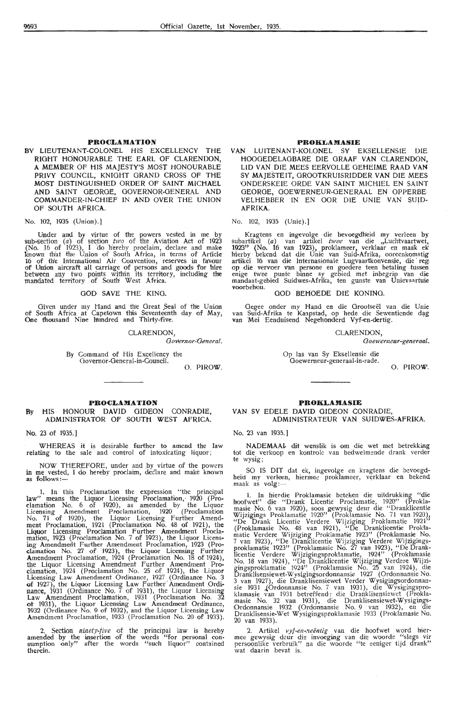#### **PROCLAMATION**

BY LIEUTENANT-COLONEL HIS EXCELLENCY THE RIGHT HONOURABLE THE EARL OF CLARENDON, A MEMBER OF HIS MAJESTY'S MOST HONOURABLE PRIVY COUNCIL, KNIGHT GRAND CROSS OF THE MOST DISTINGUISHED ORDER OF SAINT .MICHAEL AND SAINT GEORGE, GOVERNOR-GENERAL AND COMMANDER-IN-CHIEF IN AND OVER THE UNION OF SOUTH **AFRICA.** 

No. 102, 1935 (Union).]

Under and by virtue of the powers vested in me by sub-section (a) of section *two* of the Aviation Act of 1923 (No. 16 of 1923), I do hereby proclaim, declare and make known that the Union of South Africa, in terms of Article 16 of the International Air Convention, reserves in favour of Union aircraft all carriage of persons and goods for hire between any two points within its territory, including the<br>mandated territory of South West Africa.

#### GOD SAVE THE KING.

Given under my Hand and the Great Seal of the Union of South Africa at Capetown this Seventeenth day of May, One thousand Nine hundred and Thirty-five.

CLARENDON,

Governor-General.

By Command of His Excellency the Govemor-Oeneral-in-Council. 0. PIROW.

#### **PROCLAMATION**

#### **By** HIS · HONOUR DAVID GIDEON CONRADIE, ADMINISTRATOR OF SOUTH WEST AFRICA.

No. 23 of 1935.]

WHEREAS it is desirable further to amend the law relating to the sale and control of intoxicating liquor;

NOW THEREFORE, under and \_by virtue of the powers in me vested, I do hereby proclaim, declare and make known<br>as follows:-

1. In this Proclamation the expression "the principal law" means the Liquor Licensing Proclamation, 1920 (Proclamation No\_ 6 .of 1920), as amended by the Liquor Licensing Amendment Proclamation, 1920 (Proclamation No. 71 of 1920), the Liquor Licensing Further Amendment Proclamation, 1921 (Proclamation No. 48 of 1921), the Liquor Licensing Proclamation Further Amendment Proclamation, 1923 (Proclamation No. 7 of 1923), the Liquor Licensing Amendment Further Amendment Proclamation, 1923 (Pro-<br>clamation No. 27 of 1923), the Liquor Licensing Further Amendment Proclamation, 1924 (Proclamation No. 18 of 1924), the Liquor Licensing Amendment Further Amendment Pro-<br>clamation, 1924 (Proclamation No. 25 of 1924), the Liquor<br>Licensing Law Amendment Ordinance, 1927 (Ordinance No. 3 of 1927), the Liquor Licensing Law Further Amendment Ordinance, 1931 (Ordinance No. 7 of 1931), the Liquor Licensing Law Amendment Proclamation, 1931 (Proclamation No. 32<br>of 1931), the Liquor Licensing Law Amendment Ordinance, 1932 (Ordinance No. 9 of 1932), and the Liquor Licensing Law Amendment Proclamation, 1933 (Proclamation No. 20 of 1933).

2. Section *ninety-five* of the principal law is hereby amended by the insertion of the words "for personal con-<br>sumption only" after the words "such liquor" contained therein.

#### **PROKLAMASIE**

VAN LUITENANT-KOLONEL SY EKSELLENSIE DIE HOOGEDELAOBARE DIE GRAAF VAN CLARENDON, LID VAN DIE MEES EERVOLLE GEHEIME RAAD **VAN**  SY MAJESTEIT, GROOTKRUISRIDDER VAN DIE MEES -ONDERSKEIE ORDE VAN SAINT MICHIEL EN SAINT GEORGE, OOEWERNEUR-GENERAAL EN OPPERBE VELHEBBER IN EN OOR DIE UNIE VAN SUID-**AFRIKA.** 

## No. 102, 1935 (Unie).]

. Kragtens en ingevolge die bevoegdheid my verleen **by**  subartikel (a) van artikel twee van die "Luchtvaartwet, 1923" (No. 16 van 1923), proklameer, verklaar en maak ek<br>hierby bekend dat die Unie van Suid-Afrika, ooreenkomstig artikel 16 van die Internasionale Lugvaartkonvensie, die reg<br>op die vervoer van persone en goedere teen betaling tussen enige twee punte binne sy gebied met inbegrip van die mandaat-gebied Suidwes-Afrika, ten gunste van Unievaartuie voorbehou.

#### **GOD BEHOEDE DIE KONING.**

Oegee onder my Hand en die Orootseël van die Unie van Suid-Afrika te Kaapstad, op hede die Sewentiende dag van Mei Eenduisend Negehonderd Vyf-en-dertig.

#### CLARENDON,

Goewerneur-generaal.

Op las van Sy Eksellensie die Ooewemeur-generaal-in-rade.

0. PIROW.

#### PROKLAMASIE

#### VAN SY EDELE DAVID GIDEON CONRADfE, ADMINISTRATEUR VAN SUIDWES-AFRIKA.

#### No. 23 van 1935.]

NADEMAAL dit wenslik is om die wet met betrekking tot die verkoop en kontrole van bedwelmende drank verder te wysig;

SO IS DIT dat ek, ingevolge en .kragtens die bevoegdheid my verleen, hiermee proklameer, verklaar en bekend maak as volg:-

1. In hierdie Proklamasie beteken die uitdrukking "die hoofwet" die "Drank Licentie Proclamatie, 1920" (Proklamasie No. 6 van 1920), soos gewysig deur die "Dranklicentie Wijzigings Proklamatie 1920" (Proklamasie No. 71 van 1920), "De Drank Licentie Verdere Wijziging Proklamatie 1921" (Proklamasie No. 48 van 1921), "De Dranklicentie Proklamatie Verdere Wijziging Proklamatie 1923" (Proklamasie No. 7 van 1923), "De Dranklicentie Wijziging Verdere Wijzigings-<br>proklamatie 1923" (Proklamasie No. 27 van 1923), "De Dranklicentie Verdere Wijzigingsproklamatie, 1924" (Proklamasie No. 18 van 1924), "De Dranklicentie Wijziging Verdere Wijzigingsproklamatie 1924" (Proklamasie No. 25 van 1924), die Dranklisensiewet-Wysigingsordonnansie 1927 (Ordonnansie No. 3 van 1927), die Dranklisensiewet Verder Wysigingsordonnansie 1931 ,(Ordonnansie No. 7 van 1931), die Wysigingspro-<br>klamasie van 1931 betreffende die Dranklisensiewet (Proklamasie No. 32 van 1931), die Dranklisensiewet-Wysigings-Ordonnansie 1932 (Ordonnansie No. 9 van 1932), en die Dranklisensie-Wet Wysigingsproklamasie 1933 (Proklamasie No. 20 van 1933).

2. Artikel *vyf-en-neëntig* van die hoofwet word hier-<br>mee gewysig deur die invoeging van die woorde "slegs vir persoonlike verbruik" na die woorde "te eeniger tijd drank" wat daarin bevat is.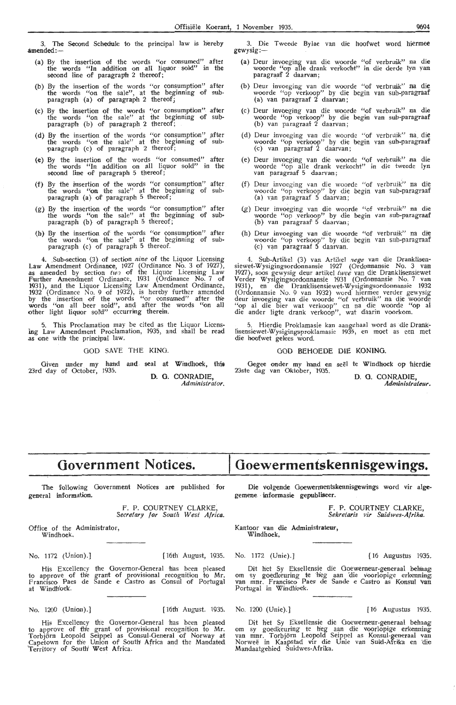3. "The Second Schedule to the principal law is hereby **jmended:-**

- (a) By the insertion of the words "or consumed" after the words **"ln** .addition on all liquor sold" 1n the second line of paragraph 2 thereof;
- (b) By the insertion of the words "or consumption" after the words "on the sale", at the beginning of subparagraph (a) of paragraph 2 thereof;
- (c) By the insertion of the words "or consumption" after the words "on the sale" at the beginning of subparagraph (b) of paragraph 2 thereof;
- (d) By the insertion of the words "or consumption" after the words "on the sale" at the beginning of subparagraph (c) of paragraph 2 thereof;
- (e) By the insertion of the words "or consumed" after the words "In addition on all liquor sold" in the second line of paragraph 5 thereof;
- (f) By the insertion of the words "or consumption" after the words "on the sale" at the beginning of sub-<br>paragraph (a) of paragraph 5 thereof;
- (g) By the insertion of the words "or consumption" after the words "on the sale" at the beginning of sub• paragraph (b) of paragraph 5 thereof;
- (h) By the insertion of the words "or consumption" after the words "on the sale" at the beginning of subparagraph (c) of paragraph 5 thereof.

4. Sub-section (3) of section *nine* of the Liquor Licensing Law Amendment Ordinance, 1927 (Ordinance No. 3 of 1927), as amended by section *tw* of the Liquor Licensing Law Further Amendment Ordinance, 1931 (Ordinance No. 7 of 1931), and the Liquor Licensing Law Amendment Ordinance, 1932 (Ordinance No. 9 of 1932), is hereby further amended by the insertion of the words "or consumed" after the words "on all beer sold", and after the words "on all other light liquor sold" occurring therein.

5. This Proclamation may be cited as the Liquor Licens- ing Law Amendment Proclamation, 1935, and shall be read as one with the principal law.

#### GOD SAVE THE KING.

Given under my hand and seal at Windhoek, this 23rd day of October, 1935. **D. G. CONRADIE,** 

*Administrator,* 

3. Die Tweede Bylae van die hoofwet word hiermee gewysig:-

- (a) Deur invoeging van die woorde "of verbruik" na die woorde "op alle drank verkocht" in die derde lyn van paragraaf 2 daarvan;
- (b) Deur invoeging van die woorde "of verbruik" na die woorde "op verkoop" by die begin van sub-paragraaf  $\frac{1}{2}$  van  $\frac{1}{2}$  baragraaf 2 daarvan;
- (c) Deur invoeging van die woorde "of verbruik" na die woorde "op verkoop" by die begin van sub-paragraaf (b) van paragraaf 2 daarvan;
- (d) Deur invoeging van die woorde "of verbruik" na die woorde "op verkoop" by die begin van sub-paragraaf (c) van paragraaf 2 daarvan;
- (e) Deur invoeging van die woorde "of verbruik" na die woorde "op alle drank verkocht" in die tweede lyn van paragraaf 5 daarvan;
- (f) Deur invoeging van die woorde "of verbruik" na die woorde "op verkoop" by die begin van sub-paragraaf (a) v\_an para\_graaf 5 daarvan;
- (g) Deur invoeging van die woorde "of verbruik" na die woorde "op verkoop" by die begin van sub-paragraaf  $(b)$  van paragraaf 5 daarvan;
- (h) Deur invoeging van die woorde "of verbruik" na die woorde "op verkoop" by die begin van sub-paragraaf (c) van paragraaf 5 daarvan.

4. Sub-Artikel (3) van Artikel *nege* van die Dranklisen-<br>siewet-Wysigingsordonnansie 1927 (Ordonnansie No. 3 van siewet-Wysigingsordonnansie 1927 (Ordonnansie No. 3 van 1927), soos gewysig deur artikel *twee* van die Dranklisensiewet Verder Wysigingsordonnansie 1931 (Ordonnansie No. 7 van 1931 ), en di-e Dran:k)isensi,ewet-Wysigungsordonnansie 1932 (Ordonnansie No. 9 van 1932) word hiermee verder gewysig deur invoeging van die woorde "of verbruik" na die woorde "op al<br>"op al die bier wat verkoop" en na die woorde "op al die ander ligte drank verkoop", wat daarin voorkom.

5. Hierdie Proklamasie kan aangehaal word as die Dranklisensiewet-Wysigingsproklamasie 1935, en moet as een met die hoofwet gelees word.

## GOD BEHOEDE DIE **KONING.**

Gegee onder my hand en seël te Windhoek op hierdie<br>23ste dag van Oktober, 1935.

D. G. CONRADIE *Administrateur.* 

# **Government Notices.**

The following Government Notices are published for general information.

> F. P. COURTNEY CLARKE *Secretary for South West Africa.*

Office of the Administrator<br>Windhoek.

No. 1172 (Union).] [ 16th August, 1935. No. 1172 (Unie). J [ 16 Augustus 1935.

His Excellency the Governor-General has been pleased to approve of the grant of provisional recognition to Mr. Francisco Paes de Sande e Castro as Consul of Portugal at Windh'oek'.

No. 1200 (Union).] [16th August. 1935. No. 1200 (Unie).] [ 16 Augustus 1935.

His Excellency the Governor-General has been pleased to approve of the grant of provisional recognition to Mr.<br>Torbjörn Leopold Seippel as Consul-General of Norway at Capetown for the Union of Soutlt Africa and the Mandated 'Territory of South; West Africa.

# **Goewermenfskennisgewings.**

Die volgende Goewermentskennisgewings word vir algegemene informasie gepubliseer.

> F. P. COURTNEY CLARKE *Sekretaris vir S11-idwes-Afrika.*

Kantoor van die Administrateur, Windhoek,

Dit het Sy Eksellensie die Goewerneur-generaal behaag om sy goedkeuring te hieg aan 'die voorlopige erkenning<br>van mnr. Francisco Paes de Sande e Castro as Konsul 'van<br>Portugal in Windhoek.

Dit het Sy Eksellensie die Goewerneur-generaal behaag om sy goedkeuring te heg aan die voorlopige erkenning van mnr. Torbjörn Leopold Seippel as Konsul-generaal van Norweë in Kaapstad vir die Unie van Suid-Afrika en 'die Mandaatgebied Suidwes-Afrika.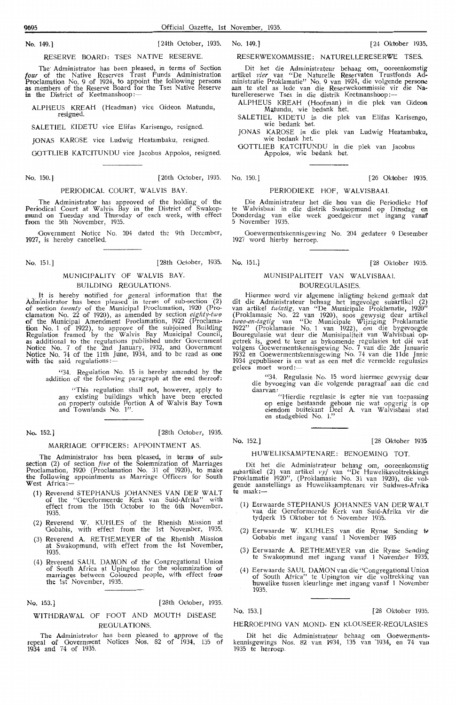RESERVE BOARD: TSES NATIVE RESERVE.

The Administrator has been pleased, in terms of Section four of the Native Reserves Trust Funds Administration Proclamation No. 9 of 1924, to appoint the following persons as members of the Reserve Board for the Tses Native Reserve in the District of Keetmanshoop :-

ALPHEUS KREAH (Headman) vice Gideon Matundu,

SALETIEL KIDETU vice Elifas Karisengo, resigned.

JONAS KAROSE vice Ludwig Heatambaku, resigned.

GOTTLIEB KATCITUNDU vice Jacobus Appolos, resigned.

No. 150.J [26th October, 1935. No. 150.] [26 Oktober 1935.

#### PERIODICAL COURT, WALVIS BAY

The Administrator has approved of the holding of the Periodical Court at Walvis Bay in the District of Swakopmund on Tuesday and Thursday of each week, with effect **from** the 5th November, 1935.

Government Notice No. 204 dated the 9th December **1927,** is hereby cancelled.

No. 151.] [28th October, 1935. No. 151.] [28 Oktober 1935.

# MUNICIPALITY OF WALVIS BAY. BUILDING REGULATIONS.

It is hereby notified for general information that the Administrator has been pleased in terms of sub-section (2) of section *twenty* of the Municipal Proclamation, 1920 (Proclamation No. 22 of 1920), as amended by section eighty-two of the Municipal Amendment Proclamation, 1922 (Proctama**tion** No. 1 of 1922), to approve of the subjoined Building Regulation framed by the Walvis Bay Municipal Council, as additional to the regulations published under Government Notice No. 7 of the 2nd January, 1932, and Government Notice No. 74 of the 11th June, 1934, and to be read as one **with** the said regulations:-

"34. Regulation No. 15 is hereby amended by the addition of the following paragraph at the end thereof:

"This regulation shall' not, however, apply to any existing buildings whrch have been erected on property outside Portion A of Walvis Bay Town and Townlands No. 1".

No. 152.] (28th October, 1935.

# MARRIAGE OFFICERS: APPOINTMENT AS

The Administrator has been pleased, in terms of sub• section (2) of section five of the Solemnization of Marriages Proclamation, 1920 (Proclamation No. 31 of 1920), to make the following appointments as Marriage Officers for South West Africa

- (1) Reverend STEPHANUS JOHANNES VAN DER WALT of the "Gereformeerde Kerk van Suid-Afrika" with effect from the 15th October to the 6th November. 1935.
- (2) Reverend W. KUHLES of the Rhenish Mission at Gobabis, with effect from the 1st November, 1935.
- (3) Reverend A. RETHEMEYER of the Rhenish Mission .at Swakopmund, with effect from the 1st November, 1935.
- (4) Reverend SAUL DAMON of the Congregational Union of South Africa sit Upington for the solemnization of marriages between Coloured people, with effect from **the** 1st November, 1935.

No. 153.] [28th October, 1935,

# WITHDRAWAL OF FOOT AND MOUTH DISEASE REGULATIONS.

The Administrator has been pleased to approve of the repeal of Government Notices Nos. 82 of 1934, 135 of 1934 and 74 of 1935.

# RESERWEKOMMISSIE: NATURELLERESERWE TSES.

Dit het die Administrateur behaag om, ooreenkomstig artikel vier van "De Naturelle Reservaten Trustfonds Administratie Proklamatie" No. 9 van 1924, die volgende persone<br>aan te stel as lede van die Reserwekommissie vir die Naaan te stel as lede van die Reserwekommissie vii<br>turellereserwe Tses in die distrik Keetmanshoop:--

ALP HE US KREAH (Hoofman) in die p1ek van Gideon Majundu, wie bedank het.

SALETIEL KIDETU in die plek van Elifas Karisengo,<br>wie bedank het.

JONAS KAROSE in die plek van Ludwig Heatambaku, wie bedank het.

GOTTLIEB KATCITUNDU in die plek van Jacobus Appolos, wie bedank het.

#### PERIODIEKE HOE WALVISBAAI

Die Administrateur het die hou van die Periodieke Hof te Walvisbaai in die distrik Swakopmund op Dinsdag en<br>Donderdag van elke week goedgekeur met ingang vanaf 5 November 1935.

Goewermentskennisgewing No. 204 gedateer 9 Desember 1927 word hierby herroep.

# M.UNISIPALITEIT VAN WALVISBAAI. BOURE,GULASIES.

Hiermee word vir algemene inligting bekend gemaak dat dit die Administrateur behaag het ingevolge subartikel (2) van artikel twintig, van "De Municipale Proklamatie, 1920" (Proklamasie No. 22 van 1920), soos gewysig deur artikel twee-en-tagtig van "De Municipale Wijziging Proklamatie 1922" (Proklamasie No. 1 van 1922), om die bygevoegde Bouregulasie wat deur die Munisipaliteit van Walvisbaai opgetrek is, goed te keur as bykomende regulasies tot dié wat volgens Goewermentskennisgewing No. 7 van die 2de Januarie 1932 en Goewermentskennisgewing No. 74 van die 11de Junie 1934 gepubliseer is en wat as een met die vermelde regulasies gelees moet word:

"34. Regulasie No. 15 word hiermee gewysig deur die byvoeging van die volgende paragraaf aan die end

daarvan: "Caarvan: "Caarvan: "Caarvan: "Hierdie regulasie is egter nie van toepassing op enige bestaande geboue nie wat opgerig is op eiendom buitekant Deel A. van Walvisbaai stad<br>en stadgebied No. 1."

No. 152.]

#### $[28 \text{ Oktober } 1035$

#### HUWELIKSAMPTENARE: BENOEMING TOT.

Dit het die Administrateur behaag om, ooreenkomstig subartikel (2) van artikel vyf van "De Huweliksvoltrekkings Proklamatie 1920", (Proklamasie No. 31 van 1920), die volgende aanstellings as Huweliksamptenare vir Suidwes-Afrika **te** maak:-

- (1) Eerwaarde STEPHANUS JOHANNES VAN DER WALT<br>van die Gereformeerde Kerk van Suid-Afrika vir ditydperk 15 Oktober tot 6 November 1935.
- (2) Eerwaarde W. KUHLES van die Rynse Sending te Oobabis met ingang vanaf **1** November 1935
- (3) Eerwaarde A. RETHEMEYER van die Rynse Sending te Swakopmund met ingang vanaf 1 November 1935.
- (4) Eerwaarde SAUL DAMON van die "Congregational Union"<br>of South Africa" te Upington vir die voltrekking van bor South Africa" te Upington vir die voltrekking van 'n buwelike tussen kleurlinge met ingang vanaf 1 November 1935.

#### No. 153.] [28 Oktober 1935]

#### HERROEPING VAN MONO- EN KLOUSEER-REGULASIES

Dit het die Administrateur behaag om Goewermentskennisgewings Nos. 82 van 1934, 135 van -1934, en 74 van 1935 te hermep.

No. 149.] (24th October, 1935. No. 149.) (24 Oktober 1935.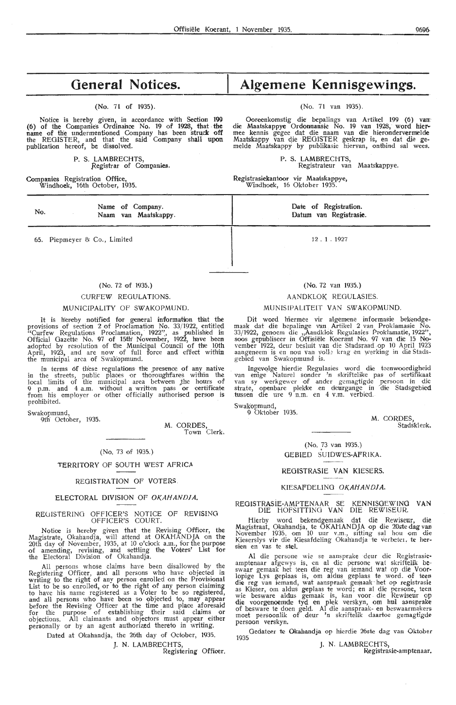# **General Notices.**

(No. 71 of 1935).

Notice is hereby given, in accordance with Section 199 (6) of the Companies Ordinance No. 19 of 1928, that the name of the undermentioned Company has been struck off the REGISTER, and that the said Company shall upon publication hereof, be dissolved.

> P. S. LAMBRECHTS, Registrar of ComQanies.

> > Name of Company. Naam van Maatskappy.

Companies Registration Office, Windhoek, 16th October, 1935.

65. Piepmeyer & Co., Limited

No.

**Algemene Kennisgewings.** 

(No. 71 van 1935).

Ooreenkomstig die bepalings van Artikel 199 (6) **varr**  die Maatskappye Ordonnansie No. 19 van 1928, word hier- mee kennis gegee dat die naam van die hierondervermelde Maatskappy van die REGISTER geskrap is, en dat die ge-<br>melde Maatskappy by publikasie hiervan, ontbind sal wees.

> P. S. LAMBRECHTS, Registrateur van Maatskappye.

Registrasiekantoor vir Maatskappye, Windhoek, 16 Oktober 1935.

> Date of Registration. Datum van Registrasie.

> > 12 . 1 . 1927

(No. 72 of 1935.)

#### CURFEW REGULATIONS.

#### MUNICIPALITY OF SWAKOPMUND.

It is hereby notified for general information that the provisions of section 2 of Proclamation No. 33/1922, entitled "Curfew Regulations Proclamation, 1922", as published in Official Gazette No. 97 of 15th' November, 1922, htave been adopted by resolution of the Municipal Council of the 10th April, 1923, and are now of full force and effect within the municipal area of Swakopmund.

In terms of these regulations the presence of any native in the streets, public places or thoroughfares within the local limits of the municipal area between the hours of 9 p.m. and 4 a.m. without a written pass or certificate from his employer or other officially authorised person is prohibited.

Swakopmund,

9th' October, 1935.

M. CORDES, Town Clerk.

#### ( No. 73 of 1935.)

#### TERRITORY OF SOUTH WEST AFRICA

#### REGISTRATION OF VOTERS

#### ELECTORAL DIVISION OF OKAHANDIA.

#### REUISTERINO OFFICER'S NOTICE OF REVISING OFFICER'S COURT.

Notice is hereby given that the Revising Officer, the Magistrate, Okahandja, will attend at OKAHAND JA on the 20th day of November, 1935, at 10 o'dock a.m., for the purpose of amending, revising, and settling the Voters' List for the Electoral Division of Okahandja.

All persons whose claims have been disallowed by the Registering Officer, and all persons who have objected in writing to the right of any person enrolled on the Provisional<br>List to be so enrolled, or to the right of any person claiming to have his name registered as a Voter to be so registered, and all persons who have been so objected to, may appear before the Revising Officer at the time and place aforesaid<br>for the purpose of establishing their said claims or<br>objections. All claimants and objectors must appear either personally or by an agent authorized thereto in writing.

Dated at Okahandja, the 26th day of October, 1935.

J. N. LAMBRECHTS,

Registering Officer.

#### (No. 72 van 1935.)

# AANDKLOK REGULASIES.

#### MUNISIPALITEIT VAN SWAKOPMUND.

Dit word hiermee vir algemene informasie bekendgemaak dat die bepalinge van Artikel 2 van Proklamasie No. 33/1922, genoem die ,,Aandklok Regulasies Proklamatie, 1922", soos gepubliseer in Offisiële Koerant No. 97 van die 15 November 1922, deur besluit van die Stadsraad. op 10 April 1923 aangeneem is en nou van volle krag en werking in die Stadsgebied van Swakopmund is.

Ingevolge hierdie Regulasies word die teenwoordigheid<br>van enige Naturel sonder 'n skriftelike pas of sertifikaat<br>van sy werkgewer of ander gemagtigde persoon in die<br>strate, openbare plekke en deurgange in die Stadsgebied tussen die ure 9 n.m. en 4 v.m. verbied.

Swakopmund,

9 Oktober 1935.

**M.** CORDES, Stadsklerk.

(No. 73 van 1935.) GEBIED SUIDWES-AFRIKA.

#### REOISTRASIE VAN KIESERS.

#### KIESAFDELING OKAHANDJA.

#### REGISTRASlE-AMPTENAAR SE KENNISOEWINO **VAN**  DIE HOFSITTINO VAN DIE REWISEUR.

Hier by word bekendgemaak dat die Rewiseur, die Magistraat, Okahandja, te OKAHANDJA op die 20stedag van November 1935, om 10 uur v.m., sitting sal hou om die Kieserslys vir die Kiesafdeling Okahandja te verbete1, te hersien en vas te stel.

Al die persone wie se aansprake deur die Registrasieamptenaar afgewys is, en al die persone wat skriftelik be .<br>swaar gemaak het teen die reg van iemand wat op die Voorlopige Lys geplaas is, om aldus geplaas te word. of teen die reg van iemand, wat aanspraak gemaak het op registrasie<br>as Kieser, om aldus geplaas te word; en al die persone, teen wie besware aldus gemaak is, kan voor die Rewiseur op die voorgenoemde tyd en plek verskyn, om hul aansprake of besware te doen g,eld. Al die aanspraak- en beswaarmakers moet persoonlik of deur 'n skriftelik daartoe gemagtigde persoon verskyn.

Gedateer te Okahandja op hierdie 26ste dag van Oktober 1935

J. N. LAMBRECHTS, Registrasie-amptenaar.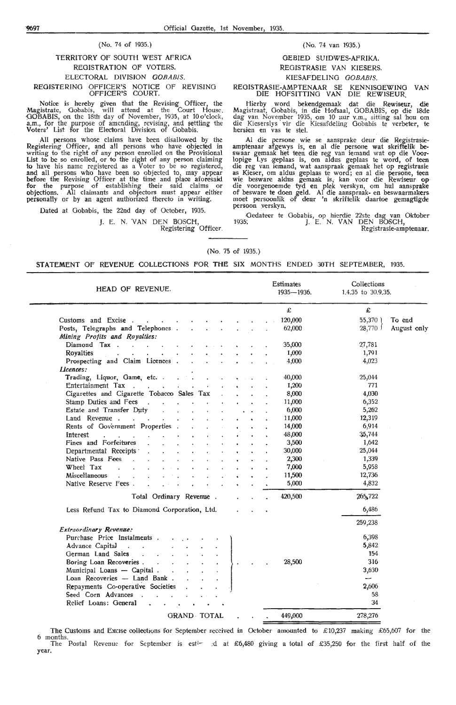#### (No. 74 of 1935.)

# TERRITORY OF SOUTH WEST AFRICA REGISTRATION OF VOTERS. ELECTORAL DIVISION OOBABiS. REGISTERING OFFICER'S NOTICE OF REVISING OFFICER'S COURT.

Notice is hereby given that the Revising Officer, the Magistrate, Oobabis, will attend at the Court House. GOBABIS, on the 18th day of November, 1935, at 10 o'clock, a.m., for the purpose of amending, revising, and settling the Voters' List for the Electoral Division of Gobabis.

All persons whose claims have been disallowed by the Registering Officer, and all persons who have objected in writing to the right of' any person enrolled on the Provisional List to be so enrolled, or to the right of any person claiming to have his name registered as a Voter to be so registered, and all persons who have been so objected to, may appear before the Revising Officer at the time and place aforesaid for the purpose of establishing their said claims or objections. All claimants and objectors must appear either personally or by an agent authorized thereto in writing.

Dated at Oobabis, the 22nd day of October, 1935.

HEAD OF REVENUE.

 $\sim$ 

Cigarettes and Cigarette Tobacoo Sales Tax

 $\mathbb{R}^2$ 

 $\mathbf{r}$ 

 $\Delta$  $\ddot{\phantom{0}}$ 

Less Refund Tax to Diamond Corporation, Ltd.

Customs and Excise .

Diamond Tax .

Entertainment Tax

Stamp Duties and Fees Estate and Transfer Dµty

Fines and Forfeitures Departmental' Receipts · Native Pass Fees Wheet Tax Miscellaneous

Native Reserve Fees

Land Revenue .

Royalties

**LJcences:** 

Interest

Posts, Telegraphs and Telephones Mining Profits and Royalties:

Prospecting and Claim Licences

Rents of Government Properties

Trading, Liquor, Game, etc. .

J. E. N. VAN DEN BOSCH,<br>Registering Officer.

Total Ordinary **Revenue** 

#### (No. 74 van 1935.)

# GEBIED SUIDWES-AFRIKA. REOISTRASIE VAN KIESERS.

## KIESAFDELING GOBABIS.

REOISTRASIE-AMPTENAAR SE KENNISGEWING **VAN**  DIE HOFSITTING VAN DIE REWISEUR.

Hierby word bekendgemaak dat die Rewiseur, die Magistraat, Oobabis, in die Hofsaal, GOBABIS, op die 18de dag van November 1935, om 10 uur v.m., sitting sal hou om die Kieserslys vir die Kiesafdeling Gobabis te verbeter, te hersien en vas te stel.

Al die persone wie se aansprake deur die Registrasie-<br>amptenaar afgewys is, en al die persone wat skriftelik be-<br>swaar gemaak het teen die reg van iemand wat op die Voorlopige Lys .geplaas is, om aldus geplaas te word, of teen die reg van iemand, wat aanspraak gemaak het op registrasie<br>as Kieser, om aldus geplaas te word; en al die persone, teen wie besware aldus gemaak is, kan voor die Rewiseur op die voorgenoemde tyd en plek verskyn, om hul aansprake of besware te doen gield. AI die aanspraak- en beswaarmakers moet persoonlik of deur 'n skriftelik daartoe gemagtigde persoon verskyn.

Gedateer te Gobabis, op hierdie 22ste dag van Oktober 1935: J. E. N. VAN DEN BOSCH, Registrasie-amptenaar.

> Collections 1.4.35 to 30.9.35.

> > £

27,781 1,791 4,023

25,044 771 4,030 6,352 5,262 12,319 6,914 ~,744 1,642 25,044 1,339 5,958 12,736 4,832 26~~722 6,486

55,370 To end<br>28,770 August

August only

**Estimates** 1935-1936.

> £ 120,000 62,000

35,000 1,000 4,000

40,000 1,200 8,000 11,000 6,000 11,000 14,000 48,000 3,500 30,000 2,300 7,000 11,500 5,000 420,500

#### (No. 75 of 1935.)

#### STATEMENT OF REVENUE COLLECTIONS FOR THE SIX MONTHS ENDED 30TH SEPTEMBER, 1935.

|                                                                                                                              |         | 259,238                  |  |
|------------------------------------------------------------------------------------------------------------------------------|---------|--------------------------|--|
| Extraordinary Revenue:                                                                                                       |         |                          |  |
| Purchase Price Instalments                                                                                                   |         | 6,398                    |  |
| Advance Capital                                                                                                              |         | 5,842                    |  |
| German Land Sales                                                                                                            |         | 154                      |  |
| Boring Loan Recoveries                                                                                                       | 28,500  | 316                      |  |
| Municipal Loans — Capital                                                                                                    |         | 3,630                    |  |
| Loan Recoveries -- Land Bank                                                                                                 |         | $\overline{\phantom{a}}$ |  |
| Repayments Co-operative Societies                                                                                            |         | 2,606                    |  |
| Seed Corn Advances                                                                                                           |         | 58                       |  |
| Relief Loans: General.                                                                                                       |         | 34                       |  |
| <b>GRAND TOTAL</b>                                                                                                           | 449,000 | 278,276                  |  |
|                                                                                                                              |         |                          |  |
| The Customs and Excise collections for September received in October amounted to £10,237 making £65,607 for the<br>6 months. |         |                          |  |

The Postal Revenue for September is esti~ :d at £6,480 giving a total of £35,250 for the first half of the year.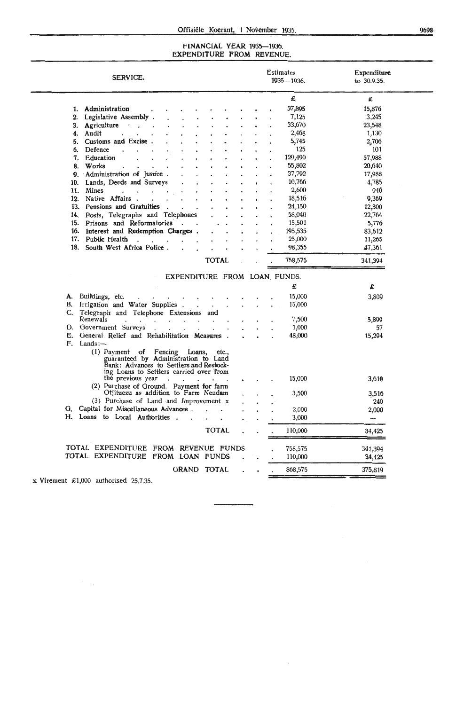#### FINANCIAL YEAR 1935-1936. EXPENDITURE **FROM** REVENUE.

| SERVICE.                                                                                                                                                                                     | <b>Estimates</b><br>1935-1936. | Expenditure<br>to 30.9.35. |
|----------------------------------------------------------------------------------------------------------------------------------------------------------------------------------------------|--------------------------------|----------------------------|
|                                                                                                                                                                                              | £                              | £                          |
| 1. Administration                                                                                                                                                                            | 37,895                         | 15,876                     |
| Legislative Assembly.<br>2.                                                                                                                                                                  | 7,125                          | 3,245                      |
| 3. Agriculture .                                                                                                                                                                             | 33,670                         | 23,548                     |
| Audit<br>4.<br>$\ddot{\phantom{a}}$                                                                                                                                                          | 2,468                          | 1,130                      |
| Customs and Excise.<br>5.                                                                                                                                                                    | 5,745                          | 2,706                      |
| Defence<br>6.                                                                                                                                                                                | 125                            | 101                        |
| Education<br>7.                                                                                                                                                                              | 129,490                        | 57,988                     |
| Works<br>8.                                                                                                                                                                                  | 55,802                         | 20,640                     |
| 9. Administration of Justice.                                                                                                                                                                | 37,792                         | 17,988                     |
| Lands, Deeds and Surveys<br>10.                                                                                                                                                              | 10,766                         | 4,785                      |
| <b>Mines</b><br>11.<br>$\mathbf{u}^{\prime}$ , $\mathbf{u}^{\prime}$ , $\mathbf{u}^{\prime}$ , $\mathbf{u}^{\prime}$ , $\mathbf{u}^{\prime}$ , $\mathbf{u}^{\prime}$ ,                       | 2,600                          | 940                        |
| Native Affairs<br>12.<br>$\ddot{\phantom{0}}$                                                                                                                                                | 18,516                         | 9,369                      |
| Pensions and Gratuities.<br>13.<br>$\ddot{\phantom{0}}$                                                                                                                                      | 24,150                         | 12,300                     |
| Posts, Telegraphs and Telephones<br>14.                                                                                                                                                      | 58,040                         | 22,764                     |
| Prisons and Reformatories<br>15.                                                                                                                                                             | 15,501                         | 5,776                      |
| Interest and Redemption Charges.<br>16.                                                                                                                                                      | 195,535                        | 83,612                     |
| Public Health<br>17.<br>$\mathbf{r}$ and $\mathbf{r}$ and $\mathbf{r}$                                                                                                                       | 25,000                         | 11,265                     |
| 18. South West Africa Police.                                                                                                                                                                | 98,355                         | 47,361                     |
| <b>TOTAL</b>                                                                                                                                                                                 | 758,575                        | 341,394                    |
|                                                                                                                                                                                              |                                |                            |
| EXPENDITURE FROM LOAN FUNDS.                                                                                                                                                                 |                                |                            |
|                                                                                                                                                                                              | £                              | £                          |
| A. Buildings, etc.<br>the contract of the contract of the contract of the contract of the contract of the contract of the contract of                                                        | 15,000                         | 3,809                      |
| B. Irrigation and Water Supplies                                                                                                                                                             | 15,000                         |                            |
| C. Telegraph and Telephone Extensions and                                                                                                                                                    |                                |                            |
| Renewals<br>$\ddot{\phantom{a}}$<br>and a strong control of the state of                                                                                                                     | 7,500                          | 5,899                      |
| D. Government Surveys                                                                                                                                                                        | 1,000                          | 57                         |
| E. General Relief and Rehabilitation Measures .                                                                                                                                              | 48,000                         | 15,294                     |
| $F.$ Lands: $-$<br>$(1)$ Payment of<br>Fencing Loans,<br>etc.,<br>guaranteed by Administration to Land<br>Bank: Advances to Settlers and Restock-<br>ing Loans to Settlers carried over from |                                |                            |
| the previous year<br>$\bullet$ .<br><br><br><br><br><br><br><br><br>                                                                                                                         | 15,000                         | 3,610                      |
| (2) Purchase of Ground. Payment for farm                                                                                                                                                     |                                |                            |
| Otjituezu as addition to Farm Neudam                                                                                                                                                         | 3,500                          | 3,516                      |
| (3) Purchase of Land and Improvement x                                                                                                                                                       |                                | 240                        |
| G. Capital for Miscellaneous Advances                                                                                                                                                        | 2,000                          | 2,000                      |
| H. Loans to Local Authorities.<br>$\sim$<br>$\ddot{\phantom{0}}$                                                                                                                             | 3,000                          | $- -$                      |
| <b>TOTAL</b>                                                                                                                                                                                 | 110,000                        | 34,425                     |
|                                                                                                                                                                                              |                                |                            |
| TOTAL EXPENDITURE FROM REVENUE FUNDS                                                                                                                                                         | 758,575                        | 341,394                    |
| TOTAL EXPENDITURE FROM LOAN FUNDS                                                                                                                                                            | 110,000                        | 34,425                     |
| GRAND TOTAL                                                                                                                                                                                  | 868,575                        | 375,819                    |
|                                                                                                                                                                                              |                                |                            |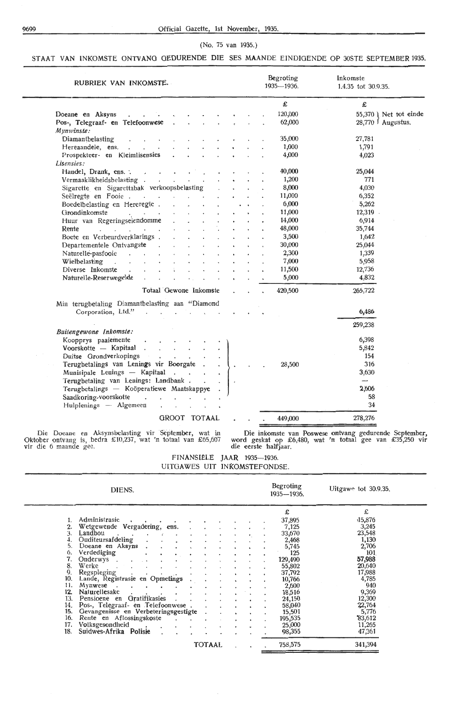#### 9699 Official Gazette, 1st November, 1935.

#### (No. 75 van 1935.)

# STAAT VAN INKOMSTE ONTVANG GEDURENDE DIE SES MAANDE EINDIGENDE OP 30STE SEPTEMBER 1935.

| RUBRIEK VAN INKOMSTE.                                                               | Begroting<br>1935-1936. | Inkomste<br>1.4.35 tot 30.9.35. |
|-------------------------------------------------------------------------------------|-------------------------|---------------------------------|
|                                                                                     | £                       | £                               |
| Doeane en Aksyns<br>$\sim$ $\sim$ $\sim$ $\sim$                                     | 120,000                 | 55,370 ) Net tot einde          |
| Pos-, Telegraaf- en Telefoonwese                                                    | 62,000                  | $28,770$ Augustus.              |
| $M$ <i>ynwinste</i> :                                                               |                         |                                 |
| Diamanthelasting                                                                    | 35,000                  | 27,781                          |
| Hereaandele, ens.                                                                   | 1,000                   | 1,791                           |
| Prospekteer- en Kleimlisensies<br>$\ddot{\phantom{0}}$                              | 4,000                   | 4,023                           |
| Lisensies:                                                                          |                         |                                 |
| Handel, Drank, ens.                                                                 | 40,000                  | 25,044                          |
| Vermaaklikheidsbelasting                                                            | 1,200                   | 771                             |
| Sigarette en Sigarettabak verkoopsbelasting                                         | 8,000                   | 4,030                           |
| Seëlregte en Fooie                                                                  | 11,000                  | 6,352                           |
| Boedelbelasting en Hereregte.<br>$\mathbf{r}$ .                                     | 6,000                   | 5,262                           |
| Grondinkomste<br>and the second control<br>All Controllers                          | 11,000                  | 12,319                          |
| Huur van Regeringseiendomme<br>$\mathcal{L}^{\text{max}}$                           | 14,000                  | 6,914                           |
| Rente<br>$\mathbf{r} = \mathbf{r} \times \mathbf{r} = \mathbf{r} \times \mathbf{r}$ | 48,000                  | 35,744                          |
| Boete en Verbeurdverklarings.                                                       | 3,500                   | 1,642                           |
| Departementele Ontvangste<br>$\ddot{\phantom{a}}$                                   | 30,000                  | 25,044                          |
| Naturelle-pasfooie<br>$\sim$                                                        | 2,300                   | 1,339                           |
| Wielbelasting<br>and the control of the con-                                        | 7,000                   | 5,958                           |
| Diverse Inkomste<br>$\mathbf{r}$<br>$\sim$ $\sim$                                   | 11,500                  | 12,736                          |
| Naturelle-Reserwegelde<br>$\mathbf{r}$                                              | 5,000                   | 4,832                           |
| Totaal Gewone Inkomste                                                              | 420,500                 | 265,722                         |
| Min terugbetaling Diamantbelasting aan "Diamond                                     |                         |                                 |
| Corporation, Ltd.".                                                                 |                         | 6,486                           |
| Buitengewone Inkomste:                                                              |                         | 259,238                         |
| Koopprys paaiemente<br>$\ddot{\phantom{0}}$<br>$\mathcal{L}^{\text{max}}$           |                         | 6,398                           |
| Voorskotte -- Kapitaal                                                              |                         | 5,842                           |
| Duitse Grondverkopings<br>the contract of the con-                                  |                         | 154                             |
| Terugbetalings van Lenings vir Boorgate.<br>$\ddot{\phantom{1}}$                    | 28,500                  | 316                             |
| Munisipale Lenings -- Kapitaal                                                      |                         | 3,630                           |
| Terugbetaling van Lenings: Landbank<br>$\overline{\phantom{a}}$                     |                         | -                               |
| Terugbetalings - Koöperatiewe Maatskappye                                           |                         | 2,606                           |
| Saadkoring-voorskotte<br>$\sim$<br>$\sim$ $\sim$<br>$\mathbf{r}$                    |                         | 58                              |
| Hulplenings - Algemeen<br>$\ddot{\phantom{a}}$                                      |                         | 34                              |
| GROOT TOTAAL                                                                        | 449,000                 | 278,276                         |

Die Doeane en Aksynsbelasting vir September, wat in Oktober ontvang is, bedra £10,237, wat 'n totaal van £65,607 vir die 6 maande gee.

Die inkomste van Poswese ontvang gedurende September, word geskat op £6,480, wat 'n totaal gee van £35,250 vir die eerste 'halfjaar.

FINANSIËLE JAAR 1935-1936. UITGAWES UIT INKOMSTEFONDSE

|     | DIENS.                               |               |   | Begroting<br>1935-1936. |         | Uitgawe tot $30.9.35$ . |
|-----|--------------------------------------|---------------|---|-------------------------|---------|-------------------------|
|     |                                      |               |   | £                       |         | £                       |
|     | Administrasie                        |               |   |                         | 37,895  | .15,876                 |
|     | Wetgewende Vergadering, ens.         |               |   |                         | 7,125   | 3,245                   |
| 3.  | Landbou                              |               |   |                         | 33,670  | 23,548                  |
|     | Ouditeursafdeling                    |               |   |                         | 2,468   | 1,130                   |
| 5.  | Doeane en Aksyns                     |               |   |                         | 5,745   | 2,706                   |
| 6.  | Verdediging                          |               |   |                         | 125     | 101                     |
| 7.  | Onderwys.                            |               |   |                         | 129,490 | 57,988                  |
| 8.  | Werke                                |               |   |                         | 55,802  | 20,640                  |
| 9.  | Regspleging                          |               |   |                         | 37,792  | 17,988                  |
| 10. | Lande, Registrasie en Opmetings      |               |   |                         | 10,766  | 4,785                   |
| 11. | Mynwese                              |               |   |                         | 2,600   | 940                     |
| 12. | Naturellesake                        |               |   |                         | 18,516  | 9,369                   |
| 13. | Pensioene en Gratifikasies           |               |   |                         | 24,150  | 12,300                  |
| 14. | Pos-, Telegraaf- en Telefoonwese.    |               |   |                         | 58,040  | 22,764                  |
| 15. | Gevangenisse en Verbeteringsgestigte |               |   |                         | 15,501  | 5,776                   |
| 16. | Rente en Aflossingskoste             |               |   |                         | 195,535 | 83,612                  |
| 17. | Volksgesondheid                      |               |   |                         | 25,000  | 11,265                  |
| 18. | Suidwes-Afrika Polisie               |               |   |                         | 98,355  | 47,361                  |
|     |                                      | <b>TOTAAL</b> | ٠ |                         | 758,575 | 341,394                 |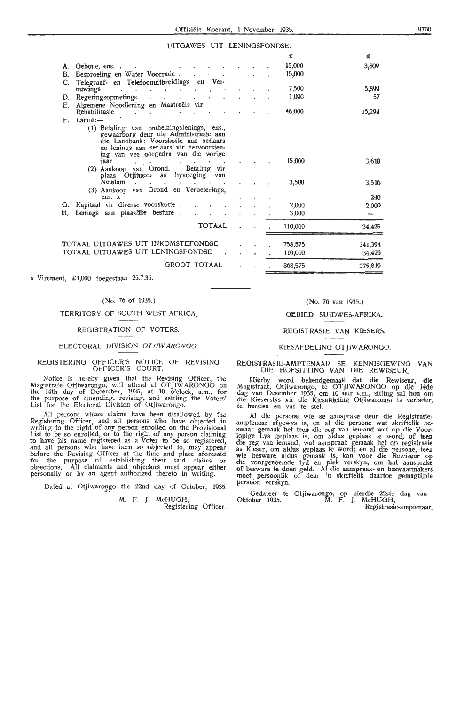# **UITGAWES UIT LENINGSFONDSE**

|    |                                                                                                                                                                                                                                                                                                                                                  |  | £       | £       |
|----|--------------------------------------------------------------------------------------------------------------------------------------------------------------------------------------------------------------------------------------------------------------------------------------------------------------------------------------------------|--|---------|---------|
| А. | Geboue, ens                                                                                                                                                                                                                                                                                                                                      |  | 15,000  | 3,809   |
| В. | Besproeiing en Water Voorrade.                                                                                                                                                                                                                                                                                                                   |  | 15,000  |         |
| C. | Telegraaf- en Telefoonuitbreidings en Ver-                                                                                                                                                                                                                                                                                                       |  |         |         |
|    | nuwings                                                                                                                                                                                                                                                                                                                                          |  | 7,500   | 5,899   |
| D. | Regeringsopmetings                                                                                                                                                                                                                                                                                                                               |  | 1,000   | 57      |
| Е. | Algemene Noodlening en Maatreëls vir<br>Rehabilitasie                                                                                                                                                                                                                                                                                            |  | 48,000  | 15,294  |
| F. | Lande:                                                                                                                                                                                                                                                                                                                                           |  |         |         |
|    | (1) Betaling van omheiningslenings, ens.,<br>gewaarborg deur die Administrasie aan<br>die Landbank: Voorskotte aan setlaars<br>en lenings aan setlaars vir hervoorsien-<br>ing van vee oorgedra van die vorige                                                                                                                                   |  |         |         |
|    | jaar<br>$\mathbf{r} = \mathbf{r} \cdot \mathbf{r}$ . Then, it is a set of the set of the set of the set of the set of the set of the set of the set of the set of the set of the set of the set of the set of the set of the set of the set of the set o<br>$\bullet$<br>(2) Aankoop van Grond. Betaling vir<br>plaas Otjituezu as byvoeging van |  | 15,000  | 3,610   |
|    | Neudam<br>$\cdot$ $\cdot$                                                                                                                                                                                                                                                                                                                        |  | 3,500   | 3,516   |
|    | (3) Aankoop van Grond en Verbeterings,                                                                                                                                                                                                                                                                                                           |  |         |         |
|    | ens. x                                                                                                                                                                                                                                                                                                                                           |  |         | 240     |
| G. | Kapitaal vir diverse voorskotte.                                                                                                                                                                                                                                                                                                                 |  | 2,000   | 2,000   |
| H. | Lenings aan plaaslike besture.                                                                                                                                                                                                                                                                                                                   |  | 3,000   |         |
|    | <b>TOTAAL</b>                                                                                                                                                                                                                                                                                                                                    |  | 110,000 | 34,425  |
|    | TOTAAL UITGAWES UIT INKOMSTEFONDSE                                                                                                                                                                                                                                                                                                               |  | 758,575 | 341,394 |
|    | TOTAAL UITGAWES UIT LENINGSFONDSE                                                                                                                                                                                                                                                                                                                |  | 110,000 | 34.425  |

GROOT TOTAAL

x Virement, £1,000 toegestaan 25.7.35.

#### (No. 76 of 1935.)

#### TERRITORY OF SOUTH WEST AFRICA.

#### REGISTRATION OF VOTERS

#### ELECTORAL DIVISION OTJIWARONGO

#### REGISTERING OFFICER'S NOTICE OF REVISING OFFICER'S COURT.

Notice is hereby given that the Revising Officer, the Magistrate Otjiwarongo, will attend at OTJIW ARONOO on the 14th day of December, 1935, at 10 o'clock, a.m., for the purpose of amending, revising, and settling the Voters' List for the Electoral Division of Otjiwarongo.

All persons whose claims have been disallowed by the Registering Officer, and all persons who have objected in writing to the right of any person enrolled on the Provisional<br>List to be so enrolled, or to the right of any person claiming to have his name registered as a Voter to be so registered, and all persons who have been so objected to, may appear before the Revising Officer at the time and place aforesaid<br>for the purpose of establishing their said claims or<br>objections. All claimants and objectors must appear either personally or by an agent authorized thereto in writing.

Dated at Otjiwarongo the 22nd day of October, 1935

M. F. *).* McHUOH, Registering Officer.

## (No. 76 van 1935.)

375,819

868,575

#### GEBIED SUIDWES-AFRIKA.

#### REGISTRASIE VAN KIESERS.

# KIESAFDELING OT JIWARONGO

#### REOISTRASIE-AMPTENAAR SE KENNISOEWINO VAN DIE HOFSITTING VAN DIE REWISEUR

Hierby word bekendgemaak dat die Rewiseur, die Magistraat, Otjiwarongo, te OTJIWARONGO op die 14de dag van Desember 1935, om 10 uur v.m., sitting sal hou om die Kieserslys vir die Kiesafdeling Otjiwarongo te verbeter, te hersien en vas te stel.

Al die persone wie se aansprake deur die Registrasieamptenaar afgewys is, en al die persone wat skriftelik be-<br>swaar gemaak het teen die reg van iemand wat op die Voorlopige Lys geplaas is, om aldus geplaas te word, of teen die reg van iemand, wat aanspraak gemaak het op registrasie as Kieser, om aldus geplaas te word; en al die persone, teen wie besware aldus gemaak is, kan voor die Rewiseur op die voorgenoemde tyd en plek verskyn, om hul aansprake of besware te doen geld. Al die aanspraak- en beswaarmakers moet persoonlik of deur 'n skriftelik daartoe gemagtigde persoon verskyn.

Gedateer te Oktober 1935. Otjiwarongo, op hierdie 22ste dag van M. F. J. McHUOH,

Registrasie-amptenaar.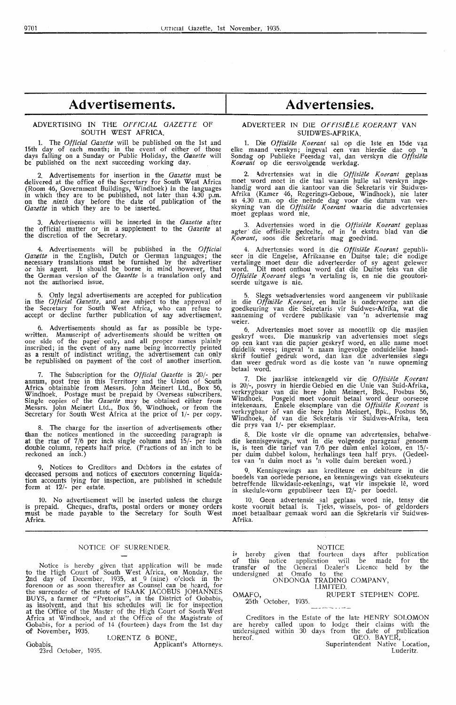#### ADVERTISING IN TttE *OFFICIAL GAZETTE* OF SOUTH WEST AFRICA.

1. The *Official Gazette* will be published on the 1st and 15th day of each month; in the event of either of those days falling on a Sunday or Public Holiday, the *Gazette* will be published on the next succeeding working day.

2. Advertisements for insertion in the *Gazette* must be delivered at the office of the Secretary for South West Africa (Room 46, Government Buildings, Windhoek) in the languages in which they are to be published, not later than 4.30 p.m.<br>on the *ninth* day before the date of publication of the *Gazette* in which they are to be inserted.

3. Advertisements will be inserted in the *Gazette* after the official matter or in a supplement to the *Gazette* at the discretion of the Secretary.

4. Advertisements will be published in the *Official*  Gazette in the English, Dutch or German languages; the necessary translations must be furnished by the advertiser<br>or his agent. It should be borne in mind however, that the German version of the *Gazette* is a translation only and not the authorised issue.

5. Only legal advertisements are accepted for publication in the *Official Gazette*, and are subject to the approval of the Secretary for South West Africa, who can refuse to accept or decline further publication of any advertisement.

6. Advertisements should as far as possible be typewritten. Manuscript of advertisements should be written on<br>one side of the paper only, and all proper names plainly inscribed; in the event of any name being incorrectly printed as a result pf indistinct writing, the advertisement can only be republished on payment of the cost of another insertion.

7. The Subscription for the *Official Gazette* is 20/- per annum, post free in this Territory and the Union of South Africa obtainable from Messrs. John Meinert Ltd., Box 56, Windhoek. Postage must be prepaid by Overseas subscribers. Single copies of the *Gazette* may be obtained either from Messrs. John Meinert Ltd., Box 56, Windhoek, or from the Secretary for South West Africa at the price of 1/· per copy.

The charge for the insertion of advertisements other than the notices mentioned in the succeeding paragraph is at the rtae of 7/6 per inch sing1e column and 15/- per inch double column, repeats half price. (Fractions of an inch to be reckoned an inch.)

Notices to Creditors and Debtors in the estates of deceased persons and notices of executors concerning liquidation accounts lying for inspection, are published in schedule form at 12/- per estate.

10. No advertisement will be inserted unless the charge is prepaid. Cheques, drafts, postal orders or money orders must he made payable to the Secretary for South West Africa.

#### NOTICE OF SURRENDER.

Notice is hereby given that application will be made to the ttigh Court of South West Africa, on Monday, the 2nd day of Deoember, 1935, at 9 (nine) o'c1ock in th.> forenoon or as soon thereafter as Counsel can be heard, for the surrender of the estate of ISAAK JACOBUS JOHANNES BUYS, a farmer of "Pretorius", in the District of Gobabis, as insolvent, and that his schedules will lie for inspection at the Office of the Master of the High Court of South West Africa at Windhoek, and at the Office of the Magistrate of Oobabis, for a period of 14 (fourteen) days from the 1st day **of** November, 1935.

#### LORENTZ & BONE,

Gobabis, Applicant's Attorneys. 23rd October, 1935.

# **Advertensies.**

#### ADVERTEER IN DIE OFFISIËLE KOERANT VAN SUIDWES-AFRIKA.

1. Die *Offisiële Koerant* sal op die 1ste en 15de van elke maand verskyn; ingeval een van hierdie dae op 'n Sondag op Publieke Feesdag val, dan verskyn die Offisiële *Koerant* op die eersvolgende werkdag.

2. ~dvertensies wat in die *Offisiiile Koerant* geplaas moet word moet in die taal waarin hulle sal verskyn ingehandig word aan die kantoor van die Sekretaris vir Suidwes-Afrika (Kamer 46, Regerings-Geboue, Windhoek), nie later<br>as 4.30 n.m. op die neënde dag voor die datum van ver-<br>skyning van die *Offisiële Koerant* waarin die advertensies moet geplaas word nie.

3. Advertensies word in die *Offisii!le Koerant* geplaas agter die offisiële gedeelte, of in 'n ekstra blad van die *Koerant,* soos die Sekretaris mag goedvind.

4. Advertcnsies word in die *Offisiiile Koerant* gepubli- seer in die Engelse, Afrikaanse en Duitse tale; die nodige vertalinge moet deur die adverteerder of sy agent gelewer word. Dit moet onthou word dat die Duitse teks van die Offisiële Koerant slegs 'n vertaling is, en nie die geoutoriseerde uitgawe is nie.

5. Slegs wetsadvertensies word aangeneem vir publikasie in die *Oftisiiile Koerant,* en huUe is onderworpe aan die goedkeuring van die Sekretaris vir Suidwes-Afrika, wat die aanneming of verdere publikasie van 'n advertensie mag weier.

6. Advertensies moet sover as moontlik op die masjien geskryf wees. Die manuskrip van advertensies moet slegs op een kant van die papier geskryf word, en aHe name moet duidelik wees; ingeval 'n naam ing,evolge onduidelike handskrif foutief gedruk word, dan kan die advertensies slegs dan weer gedruk word as die koste van 'n nuwe opneming betaal word.

7. Die jaarlikse intekengeld vir die *Offisiiile Koerant*  is 20/-, posvry in hierdie Gebied en die Unie van Suid-Afrika, verkrygbaar van die here John Meinert, Bpk., Posbus 56, Windhoek. Posgeld moet vooruit betaal word deur oorseese<br>intekenaars. Enkele eksemplare van die *Offisiële Koerant* is verkrygbaar of van die here John Meinert, Bpk., Posbus 56, Windhoek, of van die Sekretaris vir Suidwes-Afrika, teen die prys van 1/- per eksemplaar.

8. Die koste vir die opname van advertensies, behalwe-<br>die kennisgewings, wat in die volgende paragraaf genoem is, is teen die tarief van 7 /6 per duim enkel kolom, en 15/ per duim dubbel kolom, herhalings teen half prys. (Gedeeltes van 'n duim moet as 'n volle duim bereken word.)

9. Kennisgewings aan krediteure en debiteure in die boedels van oorlede persone, en kennisgewings van eksekuteurs betreffende likwidasie-rekenings, wat vir inspeksie lê, word in skedule-vorm gepubliseer teen 12/- per boedel.

10. Geen advertensie sal geplaas word nie, tensy die koste vooruit betaal is. Tjeks, wissels, pos- of geldorders moet betaalbaar gemaak word aan die Sekretaris vir Suidwes-Afrika.

#### NOTICE

i~ hereby given that fourteen days after publication of this notice application will be made for the transfer of the General Dealer's Licence held by the undersigned at Omafo to the

#### ONDONOA TRADING COMPANY, LIMITED.

OMAFO,<br>25th October, 1935. RUPERT STEPHEN COPE. \_\_\_\_\_\_\_\_\_\_\_\_\_\_\_

Creditors in the Esiate of the late HENRY SOLOMON are hereby cal1ed upon to 1odge their claims with the undersigned within 30 days from the date of publication hereof. GEO. BAYER, ... ... GEO. BAYER, ... ... ... Superintendent Native Location,

Luderitz.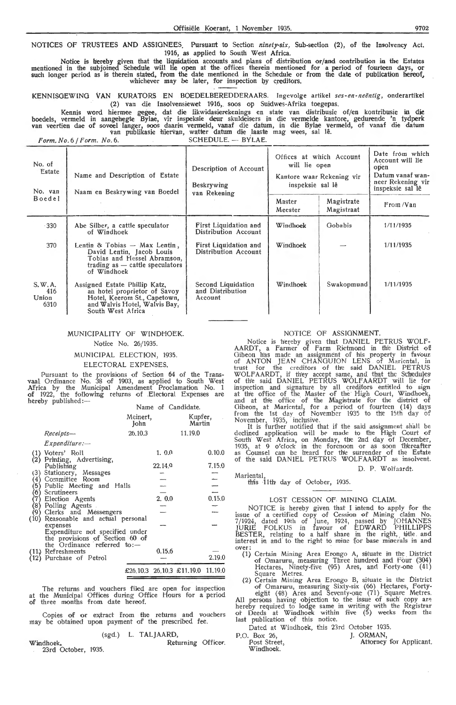NOTICES OF TRUSTEES AND ASSIGNEES. Pursuant to Section *ninety-six*, Sub-section (2), of the Insolvency Act. 1916, as applied *to* South West Africa.

Notice is hereby given that the liquidation accounts and plans of distribution or/ and contribution in the Estates mentioned in the subjoined Schedule will lie open at the offices therein mentioned for a period of fourteen days, or<br>such longer period as is therein stated, from the date mentioned in the Schedule or from the date of publ whichever may be later, for inspection by creditors.

KENNISGEWING VAN KURATORS EN BOEDELBEREDDERAARS. Ingevolge artikel ses-en-neëntig, onderartikel (2) van die Insolvensiewet 1916, soos op Suidwes-Afrika toegepas.

Kennis word hiermee gegee, dat die likwidasierekenings en state van distribusie of/en kontribusie in die<br>boedels, vermeld in aangehegte Bylae, vir inspeksie deur skuldeisers in die vermelde kantore, gedurende 'n tydperk<br>va

 $Form. No. 6 / Form. No. 6.$  SCHEDULE.  $-$  BYLAE.

| No. of<br>Estate<br>No. van    | Name and Description of Estate<br>Naam en Beskrywing van Boedel                                                                                     | Description of Account<br><b>Beskrywing</b>       | will lie open<br>inspeksie sal lê | Offices at which Account<br>Kantore waar Rekening vir | Date from which<br>Account will lie<br>open<br>Datum vanaf wan-<br>neer Rekening vir<br>inspeksie sal lê |
|--------------------------------|-----------------------------------------------------------------------------------------------------------------------------------------------------|---------------------------------------------------|-----------------------------------|-------------------------------------------------------|----------------------------------------------------------------------------------------------------------|
| Boedel                         |                                                                                                                                                     | van Rekening                                      | Master<br>Meester                 | Magistrate<br>Magistraat                              | From /Van                                                                                                |
| $-330$                         | Abe Silber, a cattle speculator<br>of Windhoek                                                                                                      | First Liquidation and<br>Distribution Account     | Windhoek                          | Gobabis                                               | 1/11/1935                                                                                                |
| 370                            | Lentin & Tobias $-$ Max Lentin,<br>David Lentin, Jacob Louis<br>Tobias and Hessel Abramson,<br>trading as $-$ cattle speculators<br>of Windhoek     | First Liquidation and<br>Distribution Account     | Windhoek                          |                                                       | 1/11/1935                                                                                                |
| S.W.A.<br>416<br>Union<br>6310 | Assigned Estate Phillip Katz,<br>an hotel proprietor of Savoy<br>Hotel, Keerom St., Capetown,<br>and Walvis Hotel, Walvis Bay,<br>South West Africa | Second Liquidation<br>and Distribution<br>Account | Windhoek                          | Swakopmund                                            | 1/11/1935                                                                                                |

# MUNICIPALITY OF WINDHOEK.

# Notice No. 26/1935.

#### MUNICIPAL ELECTION, 1935.

#### ELECTORAL EXPENSES.

Pursuant to the provisions of Section 64 of the Transvaal Ordinance No. 38 of 1903, as applied to South West Africa by the Municipal Amendment Proclamation No. 1 of 1922, the following returns of Electoral Expenses are hereby published:—

|                                                    |                  |        | Name of Candidate.                |               |
|----------------------------------------------------|------------------|--------|-----------------------------------|---------------|
|                                                    | Meinert,<br>John |        | Kupfer,<br>Martin                 |               |
| Receipts—                                          | 26,10.3          |        | 11.19.0                           |               |
| Expenditure:                                       |                  |        |                                   |               |
| (1) Voters' Roll                                   |                  | 1, 0.0 |                                   | 0.10.0        |
| (2) Printing, Advertising,<br>Publishing           |                  | 22.149 |                                   | 7.15.0        |
| (3) Stationery, Messages                           |                  |        |                                   |               |
|                                                    |                  |        |                                   |               |
| (4) Committee Room<br>(5) Public Meeting and Halls |                  |        |                                   | $\frac{1}{1}$ |
|                                                    |                  |        |                                   |               |
| (6) Scrutineers<br>(7) Election Agents             |                  | 2.0.0  |                                   | 0.15.0        |
|                                                    |                  |        |                                   |               |
| (8) Polling Agents<br>(9) Clerks and Messengers    |                  |        |                                   |               |
| (10) Reasonable and actual personal                |                  |        |                                   |               |
| expenses                                           |                  |        |                                   |               |
| Expenditure not specified under                    |                  |        |                                   |               |
| the provisions of Section 60 of                    |                  |        |                                   |               |
| the Ordinance referred to:-                        |                  |        |                                   |               |
| (11) Refreshments                                  |                  | 0.15.6 |                                   |               |
| (12) Purchase of Petrol                            |                  |        |                                   | 2.19.0        |
|                                                    |                  |        | £26,10.3 26,10.3 £11,19.0 11,19.0 |               |
|                                                    |                  |        |                                   |               |

The returns and vouchers filed are open for inspection at the Municipal Offices during Office Hours for a period of three months from date hereof.

Copies of or extract from the returns and vouchers may be obtained upon payment of the prescribed fee.

#### (sgd.) L. TALJAARD,

Windhoek. 23rd October, 1935. Returning Officer.

#### NOTICE OF ASSIGNMENT.

Notice is hereby given that DANIEL PETRUS WOLF-AARDT, a Farmer of Farm Rietmond in the District of Oibeon has made an assignment of his property in favour of ANTON JEAN CHANGUION LENS of Maricntal, in trust for the creditors of the said DANIEL PETRUS WOLFAARDT, if they accept same, and that the Schedules of the said DANIEL PETRUS WOLFAARDT will lie for inspection and signature by all creditors entitled to sign<br>at the office of the Master of the High Court, Windhoek,<br>and at the office of the Magistrate for the district of Gibeon, at Mariental, for a period of fourteen (14) days from th'e 1st day of November 1935 to thie 15th day of

November, 1935, inclusive.<br>It is further notified that if the said assignment shall be declined application will be made to the High Court of South West Africa, on Monday, the 2nd day of December, 1935, at 9 o'clock in the forenoon or as soon thereafter<br>as Counsel can be heard for the surrender of the Estate of the said DANIEL PETRUS WOLF AARDT as insolvent.

#### D. P. Wolfaardt.

Mariental, this 11th day of October, 1935.

#### LOST CESSION OF MINING CLAIM.

NOTICE is hereby given that I intend to apply for the issue of a certified copy of Cession of Mining claim No. 7 /1924, dated 19th of June, 1924, passed by JOHANNES JURIE FOLKUS in favour of EDWARD PHILLIPPS BESTER, relating to a half share in the right, witle and interest in and to the right to mine for base minerals in and

- over:<br>(1) Certain Mining Area Erongo A, situate in the District of Omaruru, measuring Three hundred and Four (304) Hectares, Ninety-five (95) Ares, and Forty-one (41)
	- Square Metres.<br>(2) Certain Mining Area Erongo B, situate in the District

of Omaruru, measuring Sixty-six (66) Hectares, Forty-<br>eight (48) Ares and Seventy-one (71) Square Metres.<br>All persons having objection to the issue of such copy are<br>hereby required to lodge same in writing with the Registr of Deeds at Windhoek within five  $(5)$  weeks from the last publication of this notice.

Dated at Windhoek, this 23rd October 1935.

P.O. Box 26, Post Street, Windhoek. J. ORMAN, Attorney for Applicant.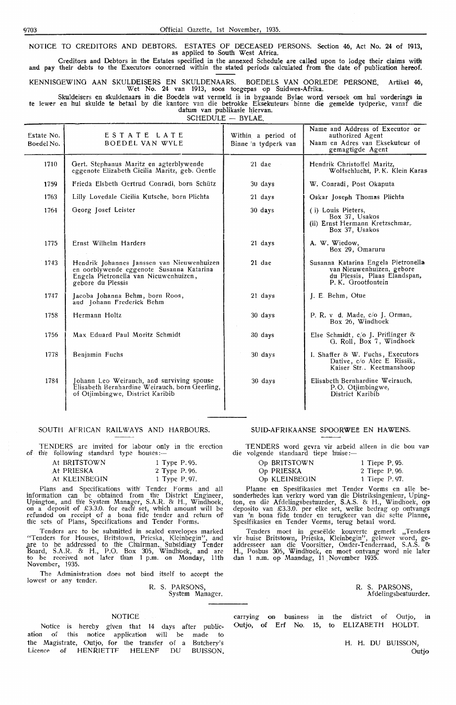NOTICE TO CREDITORS AND DEBTORS. ESTATES OF DECEASED PERSONS. Section 46, Act No. *24* of 1913, as applied to South West Africa.

Creditors and Debtors in the Estates specified in the annexed Schedule are called upon to lodge their claims with and pay their debts to the Executors concerned within the stated periods calculated from the date of publication hereof.

KENNISGEWINO AAN SKULDEISERS EN SKULDENAARS. BOEDELS VAN OORLEDE PERSONE. Artikel 46, Wet No. 24 van 1913, soos toegepas op Suidwes-Afrika.

Skuldeisers en skuldenaars in die Boedels wat vermeld is in bygaande Bylae word versoek om hul vorderings in **te** ]ewer en hul skulde te betaal by die kantore van die betrokke Eksekuteurs binne die gemelde tydperke, vanaf die datum van publikasie hiervan.

 $SCHEDULE - BYLAE$ .

| Estate No.<br>Boedel No. | ESTATE LATE<br><b>BOEDEL VAN WYLE</b>                                                                                                                | Within a period of<br>Binne 'n tydperk van | Name and Address of Executor or<br>authorized Agent<br>Naam en Adres van Eksekuteur of<br>gemagtigde Agent             |
|--------------------------|------------------------------------------------------------------------------------------------------------------------------------------------------|--------------------------------------------|------------------------------------------------------------------------------------------------------------------------|
| 1710                     | Gert. Stephanus Maritz en agterblywende<br>eggenote Elizabeth Cicilia Maritz, geb. Gentle                                                            | 21 dae                                     | Hendrik Christoffel Maritz,<br>Wolfschlucht, P.K. Klein Karas                                                          |
| 1759                     | Frieda Elsbeth Gertrud Conradi, born Schütz                                                                                                          | 30 days                                    | W. Conradi, Post Okaputa                                                                                               |
| 1763                     | Lilly Lovedale Cicilia Kutsche, born Plichta                                                                                                         | 21 days                                    | Oskar Joseph Thomas Plichta                                                                                            |
| 1764                     | Georg Josef Leister                                                                                                                                  | 30 days                                    | (i) Louis Pieters,<br>Box 37, Usakos<br>(ii) Ernst Hermann Kretzschmar,<br>Box 37, Usakos                              |
| 1775                     | Ernst Wilhelm Harders                                                                                                                                | 21 days                                    | A. W. Wiedow,<br>Box 29, Omaruru                                                                                       |
| 1743                     | Hendrik Johannes Janssen van Nieuwenhuizen<br>en oorblywende eggenote Susanna Katarina<br>Engela Pietronella van Nieuwenhuizen,<br>gebore du Plessis | 21 dae                                     | Susanna Katarina Engela Pietronella<br>van Nieuwenhuizen, gebore<br>du Plessis, Plaas Elandspan,<br>P. K. Grootfontein |
| 1747                     | Jacoba Johanna Behm, born Roos,<br>and Johann Frederick Behm                                                                                         | 21 days                                    | J. E. Behm, Otue                                                                                                       |
| 1758                     | Hermann Holtz                                                                                                                                        | 30 days                                    | P. R. v d. Made, $c/o$ J. Orman,<br>Box 26, Windhoek                                                                   |
| 1756                     | Max Eduard Paul Moritz Schmidt                                                                                                                       | 30 days                                    | Else Schmidt, $c/O$ J. Priflinger &<br>G. Roll, Box 7, Windhoek                                                        |
| 1778                     | Benjamin Fuchs                                                                                                                                       | 30 days                                    | I. Shaffer & W. Fuchs, Executors<br>Dative, c/o Alec E. Rissik,<br>Kaiser Str. Keetmanshoop                            |
| 1784                     | Johann Leo Weirauch, and surviving spouse<br>Elisabeth Bernhardine Weirauch, born Geerling,<br>of Otjimbingwe, District Karibib                      | 30 days                                    | Elisabeth Bernhardine Weirauch,<br>P.O. Otjimbingwe,<br>District Karibib                                               |

#### SOUTH AFRICAN RAILWAYS AND HARBOURS.

TENDERS are invited for labour only in the erection of the following standard type houses:-

| At BRITSTOWN  |  | 1 Type P.95. |
|---------------|--|--------------|
| At PRIESKA    |  | 2 Type P.96. |
| At KLEINBEGIN |  | 1 Type P.97. |

Plans and Specifications with Tender Forms and all information can be obtained from the District Engineer, Upington, and th'e System Manager, S.A.R. & H., Windhoek, on a deposit of £3.3.0. for eachl set, which amount will be refunded on receipt of a bona fide tender and return of/ the sets of Plans, Specifications and Tender Forms.

Tenders are to be submitted in sealed envelopes marked "Tenders for Houses, Britstown, Prieska, Kleinbegin", and are to be addressed to the Chairman. Subsidiarly Tender Board, S.A.R. & H., P.O. Box 305, Windhloek, and are to be received not later than 1 p.m. on Monday, 11th November, 1935.

The Administration does not bind itself to accept the lowest or any tender.

R. S. PARSONS, System Manager.

#### NOTICE

Notice is hereby given that 14 days after publication of this notice application wiH be made to the Magistrate, Outjo, for the transfer of a Butchery's Licence of HENRIETTF HELENF DU BUISSON,

#### SUID-AFRIKAANSE SPOORWEË EN HAWENS.

I ENDERS word gevra vir arbeid<br>die volgende standaard tiepe huise:-TENDERS word gevra vir arbeid alleen in die bou van

| Op BRITSTOWN  | 1 Tiepe P. 95. |
|---------------|----------------|
| Op PRIESKA    | 2 Tiepe P, 96. |
| Op KLEINBEGIN | 1 Tiepe P.97.  |

Planne en Spesifikasies met Tender Vorms en alle besonderhedes kan verkry word van die Distriksingen1eur, Uping-ton, en die Afdelingsbestuurder, S.A.S. & H., Windhoek, **op**  deposito van £3.3.0. per elke set, welke bedrag op ontvangs van 'n bona fide tender en terugkeer van die sette Planne, Spesifikasies en Tender Vorms, terug betaal word.

Tenders moet in geseelde kouverte gemerk ,,Tenders vir huise Britstown, Prieska, Kleinbegin", gelewer word, geaddresseer aan die Voorsitter, Onder-Tenderraad, S.A.S. & H., Posbus 305, Windh'oek, en moet ontvang word nie later dan 1 n.m. op Maandag, 11. November 1935.

|  | R. S. PARSONS,       |
|--|----------------------|
|  | Afdelingsbestuurder. |

carrying on business in the district of Outjo, Outjo, of Erf No. 15, to ELIZABETH HOLDT. in

> H. H. DU BUISSON, Outio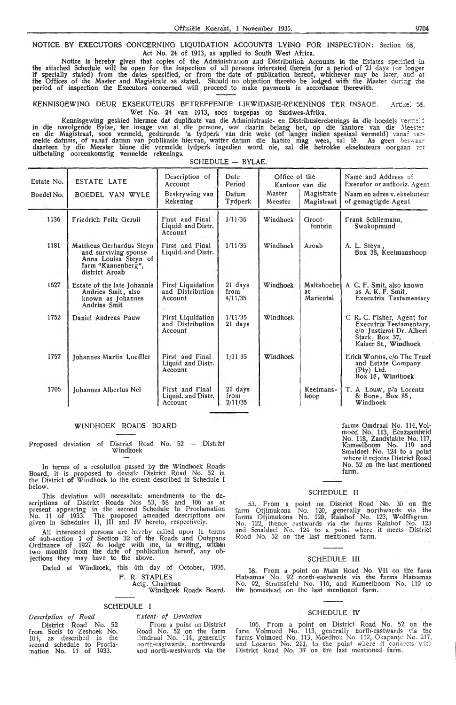#### NOTICE BY EXECUTORS CONCERNING LIQUIDATION ACCOUNTS LYING FOR INSPECTION: Section 68, Act No. 24 of 1913, as applied to South West Africa.

Notice is hereby given that copies of the Administration and Distribution Accounts in the Estates specified in the attached Schedule will be open for the inspection of all persons interested therein for a period of 21 days *(* or longer if specially stated) from the dates specified, or from the date of publication hereof; whichever may be la:er, and at the Offices of the Master and Magistrate as stated, Should no objection thereto be lodged with the Master dur.::g rhe period of inspection the Executors concerned will proceed -to make payments in accordanoe therewith.

KENNISGEWING DEUR EKSEKUTEURS BETREFFENDE LlKWIDASIE-REKENiNGS TER JNSAOE, Art,:e: :•5. Wet No. 24 van 1913, soos toegepas op Suidwes-Afrika.

kennisgewing geskied hiermee dat duplikate van die Administrasie- en Distribusierekenings in die boedels verme<br>-in die navolgende Bylae, ter insage van al die persone, wat daarin belang het, op die kantore van die Meester en die Magistraat, soos vermeld, gedurende 'n tydperk van drie weke (of langer indien spesiaal vermeld) vanaf ver-<br>melde datums, of vanaf datum van publikasie hiervan, watter datum die laatste mag wees, sal lê. As geen bes uitbetaling ooreenkomstig vermelde rekenings.

SCHEDULE - BYLAE.

| Estate No.<br>Boedel No. | <b>ESTATE LATE</b><br>BOEDEL VAN WYLE                                                                            | Description of<br>Account<br>Beskrywing van<br>Rekening | Date<br>Period<br>Datum<br>Tydperk | Office of the<br>Master<br>Meester | Kantoor van die<br>Magistrate  <br>Magistraat | Name and Address of<br>Executor or authoriz. Agent<br>Naam en adres v. eksekuteur<br>of gemagtigde Agent                          |
|--------------------------|------------------------------------------------------------------------------------------------------------------|---------------------------------------------------------|------------------------------------|------------------------------------|-----------------------------------------------|-----------------------------------------------------------------------------------------------------------------------------------|
| 1136                     | Friedrich Fritz Gerull                                                                                           | First and Final<br>Liquid. and Distr.<br>Account        | 1/11/35                            | Windhoek                           | Groot-<br>fontein                             | Frank Schliemann,<br>Swakopmund                                                                                                   |
| 1181                     | Mattheus Gerhardus Steyn<br>and surviving spouse<br>Anna Louisa Steyn of<br>farm "Kannenberg",<br>district Aroab | First and Final<br>Liquid. and Distr.                   | 1/11/35                            | Windhoek                           | Aroab                                         | A. L. Steyn,<br>Box 38, Keetmanshoop                                                                                              |
| 1627                     | Estate of the late Johannis<br>Andries Smit, also<br>known as Johannes<br>Andrias Smit                           | <b>First Liquidation</b><br>and Distribution<br>Account | 21 days<br>from<br>4/11/35         | Windhoek                           | Maltahoehe<br>яt<br>Mariental                 | A C. F. Smit, also known<br>as A. K. F. Smit.<br><b>Executrix Testamentary</b>                                                    |
| 1752                     | Daniel Andreas Pauw                                                                                              | First Liquidation<br>and Distribution<br>Account        | 1/11/35<br>21 days                 | Windhoek                           |                                               | C R. C. Fisher, Agent for<br><b>Executrix Testamentary,</b><br>c/o Justizrat Dr. Albert<br>Stark, Box 37,<br>Kaiser St., Windhoek |
| 1757                     | Johannes Martin Loeffler                                                                                         | First and Final<br>Liquid and Distr.<br>Account         | 1/1135                             | Windhoek                           |                                               | Erich Worms, c/o The Trust<br>and Estate Company<br>$(Pty)$ Ltd.<br>Box 18, Windhock                                              |
| 1706                     | Johannes Albertus Nel                                                                                            | First and Final<br>Liquid. and Distr.<br>Account        | 21 days<br>from<br>2/11/35         |                                    | Keetmans-<br>hoop                             | T. A Louw, p/a Lorentz<br>& Bone, Box 85,<br>Windhoek                                                                             |

#### WINDHOEK ROADS BOARD

Proposed deviation of District Road No. 52 -- District Windhoek

In terms of a resolution passed by the Windhoek Roads Board, it is proposed to deviate District Road No. 52 in the District **of** Windhoek to the extent described in Schedule I below.

Th'is deviation will necessitate amendments to the de- scriptions of District Roads Nos 53, 58 and 106 as at present appearing in th'e second Schedule to Proclamation No. 11 of 1933. The proposed amended descriptions are given in Schedules II, III and IV hereto, respectively.

All interested persons are hereby called upon in terms of sub-section 1 of Section 32 of the Roads and Outspans Ordinance of 1927 to lodge with me, in writing, within<br>two month's from the date of publication hereof, any objections they may have to the above.

Dated at Windhoek, this 4th day of October, 1935.

F. R. STAPLES

Actg. Chairman

Windhoek Roads Board.

#### SCHEDULE I

# *Description of Road*

District Road No. 52 from Seeis to Zeshoek No. 104, as described in the second schedule to Procla-:nation No. 11 of 1933.

*Extent of Deviation* 

from a point on District Road No. 52 on the farm Jmdraai No. 114, generally no rth-eastwards, northwards and north-westwards via the

farms Omdraai No. 114, Volmoed No. 113, Eenzaamh'eid No. 118, Zandvlakte No. 117, Kameelboom No. 119 and Smaldeel No. 124 to a point<br>where it rejoins District Road No. 52 on the last mentioned farm. ·

## SCHEDULE II

53. From a point on District Road No. 30 on the farm Otjimukona .No. 120, generally northwards via the farms Otjimukona No. 120, Rainhof No. 123, Wolffsgrun,<br>No. 122, thence eastwards via the farms Rainhof No. 123 and Smaldeel No. 124 to a point where it meets District Road No. 52 on the last mentioned farm.

#### SCHEDULE III

58. from a point on Main Road No\_ **VII** on the farm Hatsamas No, 92 north-eastwards via the farms Hatsamas No. 92, Straussfeld No. 116, and Kameelboom No. 119 to the homestead on the last mentioned farm.

#### SCHEDULE **IV**

106. From a point on District Road No. 52 on the farm Volmoed No. 113, generally north-eastwards via the farms Volmoed No. 113, Moedhou No. 112, Okapanje No. 217, and Locarno. No. 211, to the point where it connects with District Road No. 37 on the last mentioned farm.